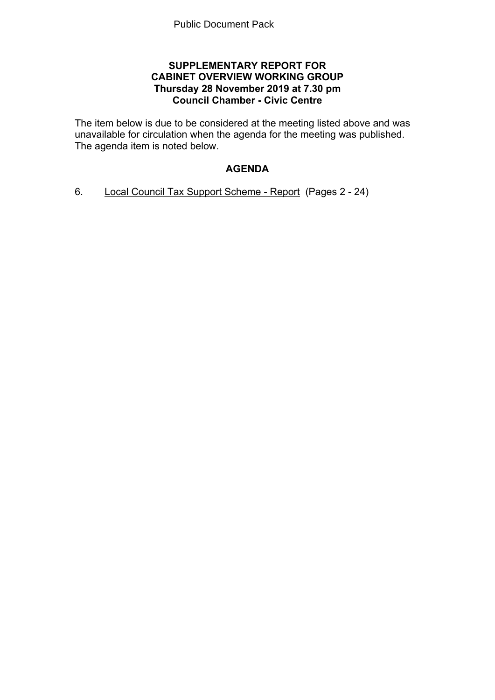## **SUPPLEMENTARY REPORT FOR CABINET OVERVIEW WORKING GROUP Thursday 28 November 2019 at 7.30 pm Council Chamber - Civic Centre**

The item below is due to be considered at the meeting listed above and was unavailable for circulation when the agenda for the meeting was published. The agenda item is noted below.

# **AGENDA**

6. Local Council Tax Support Scheme - Report(Pages 2 - 24)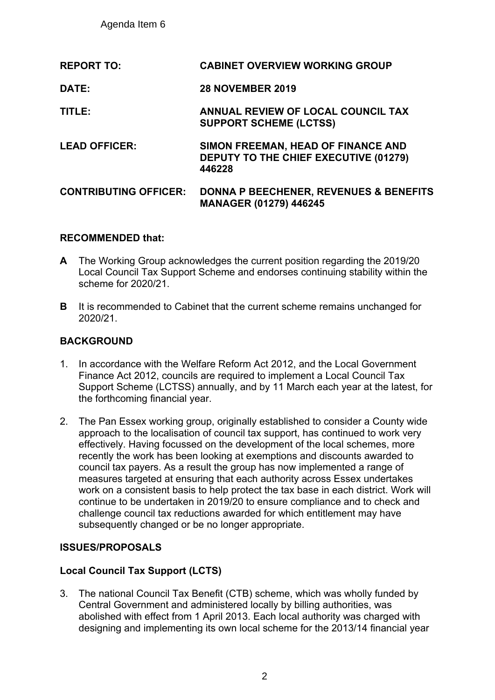Agenda Item 6

| <b>REPORT TO:</b>            | <b>CABINET OVERVIEW WORKING GROUP</b>                                                        |
|------------------------------|----------------------------------------------------------------------------------------------|
| DATE:                        | <b>28 NOVEMBER 2019</b>                                                                      |
| TITLE:                       | ANNUAL REVIEW OF LOCAL COUNCIL TAX<br><b>SUPPORT SCHEME (LCTSS)</b>                          |
| <b>LEAD OFFICER:</b>         | SIMON FREEMAN, HEAD OF FINANCE AND<br><b>DEPUTY TO THE CHIEF EXECUTIVE (01279)</b><br>446228 |
| <b>CONTRIBUTING OFFICER:</b> | <b>DONNA P BEECHENER, REVENUES &amp; BENEFITS</b><br><b>MANAGER (01279) 446245</b>           |

## **RECOMMENDED that:**

- **A** The Working Group acknowledges the current position regarding the 2019/20 Local Council Tax Support Scheme and endorses continuing stability within the scheme for 2020/21.
- **B** It is recommended to Cabinet that the current scheme remains unchanged for 2020/21.

## **BACKGROUND**

- 1. In accordance with the Welfare Reform Act 2012, and the Local Government Finance Act 2012, councils are required to implement a Local Council Tax Support Scheme (LCTSS) annually, and by 11 March each year at the latest, for the forthcoming financial year.
- 2. The Pan Essex working group, originally established to consider a County wide approach to the localisation of council tax support, has continued to work very effectively. Having focussed on the development of the local schemes, more recently the work has been looking at exemptions and discounts awarded to council tax payers. As a result the group has now implemented a range of measures targeted at ensuring that each authority across Essex undertakes work on a consistent basis to help protect the tax base in each district. Work will continue to be undertaken in 2019/20 to ensure compliance and to check and challenge council tax reductions awarded for which entitlement may have subsequently changed or be no longer appropriate.

## **ISSUES/PROPOSALS**

## **Local Council Tax Support (LCTS)**

3. The national Council Tax Benefit (CTB) scheme, which was wholly funded by Central Government and administered locally by billing authorities, was abolished with effect from 1 April 2013. Each local authority was charged with designing and implementing its own local scheme for the 2013/14 financial year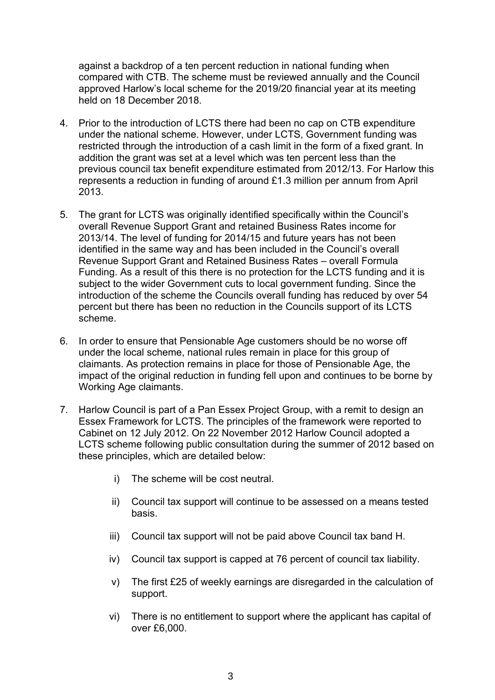against a backdrop of a ten percent reduction in national funding when compared with CTB. The scheme must be reviewed annually and the Council approved Harlow's local scheme for the 2019/20 financial year at its meeting held on 18 December 2018.

- 4. Prior to the introduction of LCTS there had been no cap on CTB expenditure under the national scheme. However, under LCTS, Government funding was restricted through the introduction of a cash limit in the form of a fixed grant. In addition the grant was set at a level which was ten percent less than the previous council tax benefit expenditure estimated from 2012/13. For Harlow this represents a reduction in funding of around £1.3 million per annum from April 2013.
- 5. The grant for LCTS was originally identified specifically within the Council's overall Revenue Support Grant and retained Business Rates income for 2013/14. The level of funding for 2014/15 and future years has not been identified in the same way and has been included in the Council's overall Revenue Support Grant and Retained Business Rates – overall Formula Funding. As a result of this there is no protection for the LCTS funding and it is subject to the wider Government cuts to local government funding. Since the introduction of the scheme the Councils overall funding has reduced by over 54 percent but there has been no reduction in the Councils support of its LCTS scheme.
- 6. In order to ensure that Pensionable Age customers should be no worse off under the local scheme, national rules remain in place for this group of claimants. As protection remains in place for those of Pensionable Age, the impact of the original reduction in funding fell upon and continues to be borne by Working Age claimants.
- 7. Harlow Council is part of a Pan Essex Project Group, with a remit to design an Essex Framework for LCTS. The principles of the framework were reported to Cabinet on 12 July 2012. On 22 November 2012 Harlow Council adopted a LCTS scheme following public consultation during the summer of 2012 based on these principles, which are detailed below:
	- i) The scheme will be cost neutral.
	- ii) Council tax support will continue to be assessed on a means tested basis.
	- iii) Council tax support will not be paid above Council tax band H.
	- iv) Council tax support is capped at 76 percent of council tax liability.
	- v) The first £25 of weekly earnings are disregarded in the calculation of support.
	- vi) There is no entitlement to support where the applicant has capital of over £6,000.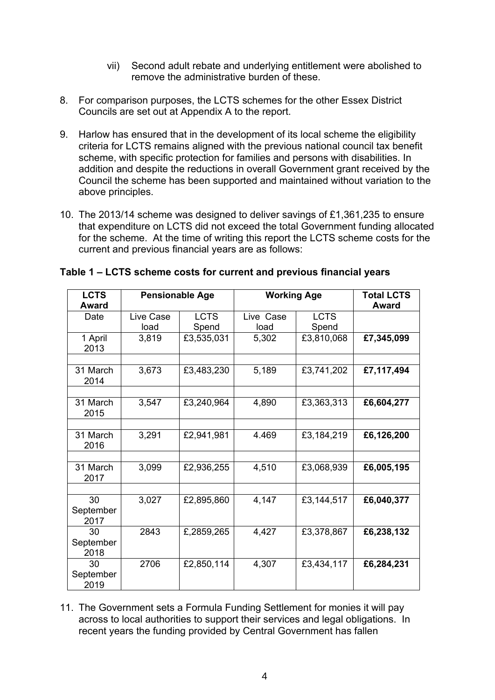- vii) Second adult rebate and underlying entitlement were abolished to remove the administrative burden of these.
- 8. For comparison purposes, the LCTS schemes for the other Essex District Councils are set out at Appendix A to the report.
- 9. Harlow has ensured that in the development of its local scheme the eligibility criteria for LCTS remains aligned with the previous national council tax benefit scheme, with specific protection for families and persons with disabilities. In addition and despite the reductions in overall Government grant received by the Council the scheme has been supported and maintained without variation to the above principles.
- 10. The 2013/14 scheme was designed to deliver savings of £1,361,235 to ensure that expenditure on LCTS did not exceed the total Government funding allocated for the scheme. At the time of writing this report the LCTS scheme costs for the current and previous financial years are as follows:

| <b>LCTS</b>             |           | <b>Pensionable Age</b> | <b>Working Age</b> | <b>Total LCTS</b> |              |
|-------------------------|-----------|------------------------|--------------------|-------------------|--------------|
| Award                   |           |                        |                    |                   | <b>Award</b> |
| Date                    | Live Case | <b>LCTS</b>            | Live Case          | <b>LCTS</b>       |              |
|                         | load      | Spend                  | load               | Spend             |              |
| 1 April<br>2013         | 3,819     | £3,535,031             | 5,302              | £3,810,068        | £7,345,099   |
| 31 March                |           |                        |                    |                   |              |
| 2014                    | 3,673     | £3,483,230             | 5,189              | £3,741,202        | £7,117,494   |
|                         |           |                        |                    |                   |              |
| 31 March<br>2015        | 3,547     | £3,240,964             | 4,890              | £3,363,313        | £6,604,277   |
|                         |           |                        |                    |                   |              |
| 31 March<br>2016        | 3,291     | £2,941,981             | 4.469              | £3,184,219        | £6,126,200   |
|                         |           |                        |                    |                   |              |
| 31 March<br>2017        | 3,099     | £2,936,255             | 4,510              | £3,068,939        | £6,005,195   |
|                         |           |                        |                    |                   |              |
| 30<br>September<br>2017 | 3,027     | £2,895,860             | 4,147              | £3,144,517        | £6,040,377   |
| 30<br>September<br>2018 | 2843      | £,2859,265             | 4,427              | £3,378,867        | £6,238,132   |
| 30<br>September<br>2019 | 2706      | £2,850,114             | 4,307              | £3,434,117        | £6,284,231   |

## **Table 1 – LCTS scheme costs for current and previous financial years**

11. The Government sets a Formula Funding Settlement for monies it will pay across to local authorities to support their services and legal obligations. In recent years the funding provided by Central Government has fallen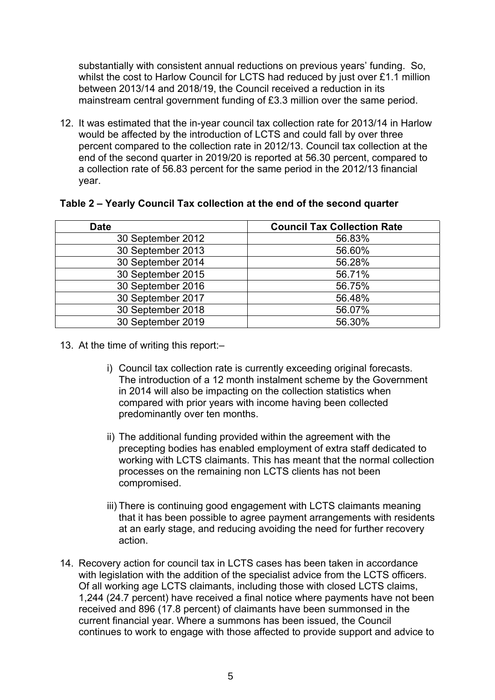substantially with consistent annual reductions on previous years' funding. So, whilst the cost to Harlow Council for LCTS had reduced by just over £1.1 million between 2013/14 and 2018/19, the Council received a reduction in its mainstream central government funding of £3.3 million over the same period.

12. It was estimated that the in-year council tax collection rate for 2013/14 in Harlow would be affected by the introduction of LCTS and could fall by over three percent compared to the collection rate in 2012/13. Council tax collection at the end of the second quarter in 2019/20 is reported at 56.30 percent, compared to a collection rate of 56.83 percent for the same period in the 2012/13 financial year.

| <b>Date</b>       | <b>Council Tax Collection Rate</b> |
|-------------------|------------------------------------|
| 30 September 2012 | 56.83%                             |
| 30 September 2013 | 56.60%                             |
| 30 September 2014 | 56.28%                             |
| 30 September 2015 | 56.71%                             |
| 30 September 2016 | 56.75%                             |
| 30 September 2017 | 56.48%                             |
| 30 September 2018 | 56.07%                             |
| 30 September 2019 | 56.30%                             |

#### **Table 2 – Yearly Council Tax collection at the end of the second quarter**

- 13. At the time of writing this report:–
	- i) Council tax collection rate is currently exceeding original forecasts. The introduction of a 12 month instalment scheme by the Government in 2014 will also be impacting on the collection statistics when compared with prior years with income having been collected predominantly over ten months.
	- ii) The additional funding provided within the agreement with the precepting bodies has enabled employment of extra staff dedicated to working with LCTS claimants. This has meant that the normal collection processes on the remaining non LCTS clients has not been compromised.
	- iii) There is continuing good engagement with LCTS claimants meaning that it has been possible to agree payment arrangements with residents at an early stage, and reducing avoiding the need for further recovery action.
- 14. Recovery action for council tax in LCTS cases has been taken in accordance with legislation with the addition of the specialist advice from the LCTS officers. Of all working age LCTS claimants, including those with closed LCTS claims, 1,244 (24.7 percent) have received a final notice where payments have not been received and 896 (17.8 percent) of claimants have been summonsed in the current financial year. Where a summons has been issued, the Council continues to work to engage with those affected to provide support and advice to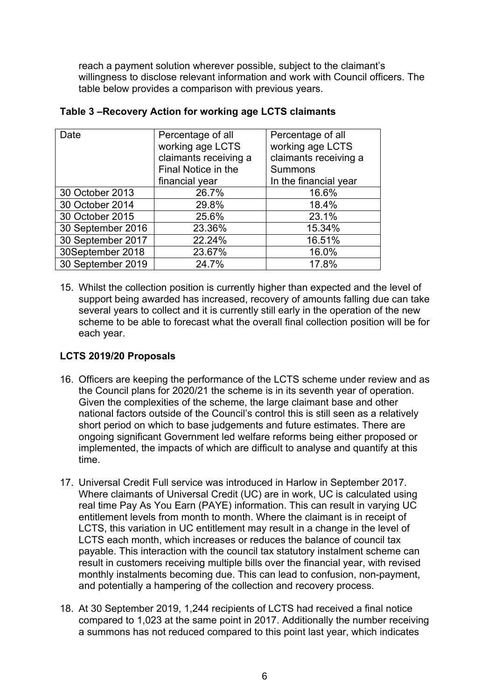reach a payment solution wherever possible, subject to the claimant's willingness to disclose relevant information and work with Council officers. The table below provides a comparison with previous years.

| Date              | Percentage of all     | Percentage of all     |
|-------------------|-----------------------|-----------------------|
|                   | working age LCTS      | working age LCTS      |
|                   | claimants receiving a | claimants receiving a |
|                   | Final Notice in the   | <b>Summons</b>        |
|                   | financial year        | In the financial year |
| 30 October 2013   | 26.7%                 | 16.6%                 |
| 30 October 2014   | 29.8%                 | 18.4%                 |
| 30 October 2015   | 25.6%                 | 23.1%                 |
| 30 September 2016 | 23.36%                | 15.34%                |
| 30 September 2017 | 22.24%                | 16.51%                |
| 30September 2018  | 23.67%                | 16.0%                 |
| 30 September 2019 | 24.7%                 | 17.8%                 |

## **Table 3 –Recovery Action for working age LCTS claimants**

15. Whilst the collection position is currently higher than expected and the level of support being awarded has increased, recovery of amounts falling due can take several years to collect and it is currently still early in the operation of the new scheme to be able to forecast what the overall final collection position will be for each year.

# **LCTS 2019/20 Proposals**

- 16. Officers are keeping the performance of the LCTS scheme under review and as the Council plans for 2020/21 the scheme is in its seventh year of operation. Given the complexities of the scheme, the large claimant base and other national factors outside of the Council's control this is still seen as a relatively short period on which to base judgements and future estimates. There are ongoing significant Government led welfare reforms being either proposed or implemented, the impacts of which are difficult to analyse and quantify at this time.
- 17. Universal Credit Full service was introduced in Harlow in September 2017. Where claimants of Universal Credit (UC) are in work, UC is calculated using real time Pay As You Earn (PAYE) information. This can result in varying UC entitlement levels from month to month. Where the claimant is in receipt of LCTS, this variation in UC entitlement may result in a change in the level of LCTS each month, which increases or reduces the balance of council tax payable. This interaction with the council tax statutory instalment scheme can result in customers receiving multiple bills over the financial year, with revised monthly instalments becoming due. This can lead to confusion, non-payment, and potentially a hampering of the collection and recovery process.
- 18. At 30 September 2019, 1,244 recipients of LCTS had received a final notice compared to 1,023 at the same point in 2017. Additionally the number receiving a summons has not reduced compared to this point last year, which indicates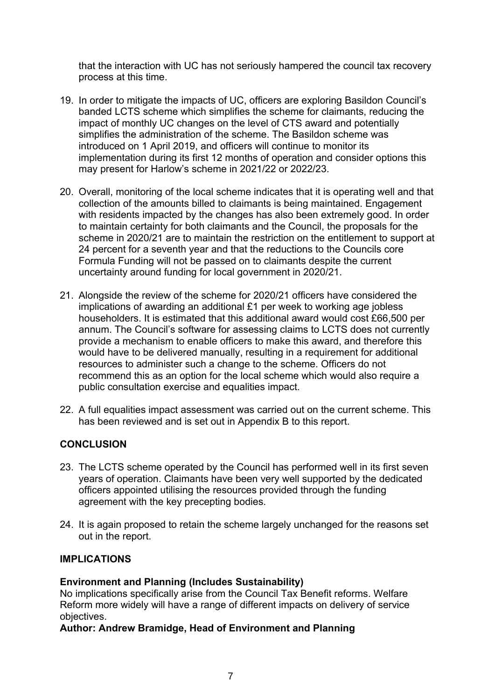that the interaction with UC has not seriously hampered the council tax recovery process at this time.

- 19. In order to mitigate the impacts of UC, officers are exploring Basildon Council's banded LCTS scheme which simplifies the scheme for claimants, reducing the impact of monthly UC changes on the level of CTS award and potentially simplifies the administration of the scheme. The Basildon scheme was introduced on 1 April 2019, and officers will continue to monitor its implementation during its first 12 months of operation and consider options this may present for Harlow's scheme in 2021/22 or 2022/23.
- 20. Overall, monitoring of the local scheme indicates that it is operating well and that collection of the amounts billed to claimants is being maintained. Engagement with residents impacted by the changes has also been extremely good. In order to maintain certainty for both claimants and the Council, the proposals for the scheme in 2020/21 are to maintain the restriction on the entitlement to support at 24 percent for a seventh year and that the reductions to the Councils core Formula Funding will not be passed on to claimants despite the current uncertainty around funding for local government in 2020/21.
- 21. Alongside the review of the scheme for 2020/21 officers have considered the implications of awarding an additional £1 per week to working age jobless householders. It is estimated that this additional award would cost £66,500 per annum. The Council's software for assessing claims to LCTS does not currently provide a mechanism to enable officers to make this award, and therefore this would have to be delivered manually, resulting in a requirement for additional resources to administer such a change to the scheme. Officers do not recommend this as an option for the local scheme which would also require a public consultation exercise and equalities impact.
- 22. A full equalities impact assessment was carried out on the current scheme. This has been reviewed and is set out in Appendix B to this report.

## **CONCLUSION**

- 23. The LCTS scheme operated by the Council has performed well in its first seven years of operation. Claimants have been very well supported by the dedicated officers appointed utilising the resources provided through the funding agreement with the key precepting bodies.
- 24. It is again proposed to retain the scheme largely unchanged for the reasons set out in the report.

## **IMPLICATIONS**

## **Environment and Planning (Includes Sustainability)**

No implications specifically arise from the Council Tax Benefit reforms. Welfare Reform more widely will have a range of different impacts on delivery of service objectives.

**Author: Andrew Bramidge, Head of Environment and Planning**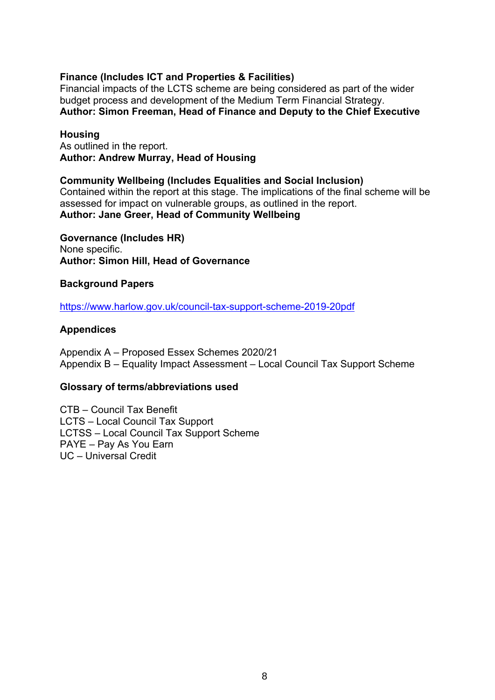## **Finance (Includes ICT and Properties & Facilities)**

Financial impacts of the LCTS scheme are being considered as part of the wider budget process and development of the Medium Term Financial Strategy. **Author: Simon Freeman, Head of Finance and Deputy to the Chief Executive**

#### **Housing**

As outlined in the report. **Author: Andrew Murray, Head of Housing**

#### **Community Wellbeing (Includes Equalities and Social Inclusion)**

Contained within the report at this stage. The implications of the final scheme will be assessed for impact on vulnerable groups, as outlined in the report. **Author: Jane Greer, Head of Community Wellbeing**

**Governance (Includes HR)** None specific. **Author: Simon Hill, Head of Governance**

#### **Background Papers**

<https://www.harlow.gov.uk/council-tax-support-scheme-2019-20pdf>

#### **Appendices**

Appendix A – Proposed Essex Schemes 2020/21 Appendix B – Equality Impact Assessment – Local Council Tax Support Scheme

#### **Glossary of terms/abbreviations used**

CTB – Council Tax Benefit LCTS – Local Council Tax Support LCTSS – Local Council Tax Support Scheme PAYE – Pay As You Earn UC – Universal Credit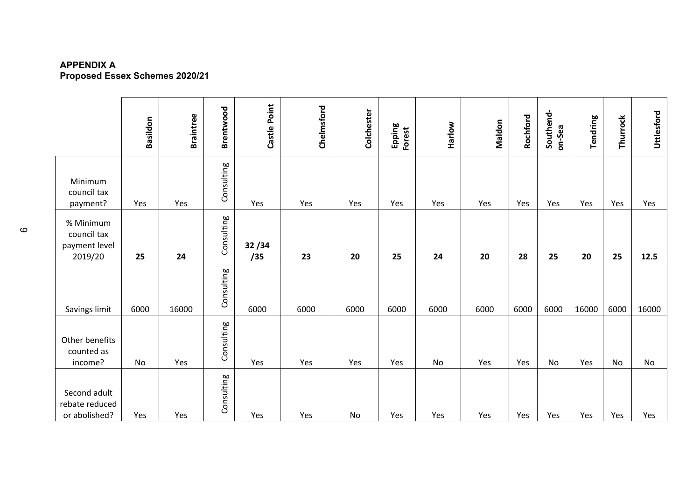#### **APPENDIX A Proposed Essex Schemes 2020/21**

|                                                      | Basildon | <b>Braintree</b> | Brentwood  | Castle Point | Chelmsford | Colchester | Epping<br>Forest | Harlow | Maldon | Rochford | Southend-<br>on-Sea | Tendring | Thurrock | Uttlesford |
|------------------------------------------------------|----------|------------------|------------|--------------|------------|------------|------------------|--------|--------|----------|---------------------|----------|----------|------------|
| Minimum<br>council tax<br>payment?                   | Yes      | Yes              | Consulting | Yes          | Yes        | Yes        | Yes              | Yes    | Yes    | Yes      | Yes                 | Yes      | Yes      | Yes        |
| % Minimum<br>council tax<br>payment level<br>2019/20 | 25       | 24               | Consulting | 32/34<br>/35 | 23         | 20         | 25               | 24     | 20     | 28       | 25                  | 20       | 25       | 12.5       |
| Savings limit                                        | 6000     | 16000            | Consulting | 6000         | 6000       | 6000       | 6000             | 6000   | 6000   | 6000     | 6000                | 16000    | 6000     | 16000      |
| Other benefits<br>counted as<br>income?              | No       | Yes              | Consulting | Yes          | Yes        | Yes        | Yes              | No     | Yes    | Yes      | <b>No</b>           | Yes      | No       | No         |
| Second adult<br>rebate reduced<br>or abolished?      | Yes      | Yes              | Consulting | Yes          | Yes        | No         | Yes              | Yes    | Yes    | Yes      | Yes                 | Yes      | Yes      | Yes        |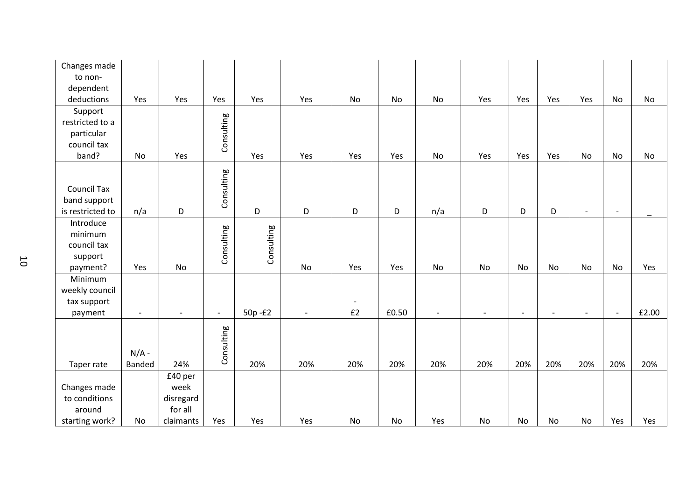| Changes made<br>to non-                                          |                          |                                                      |                          |             |                          |                                |       |                          |                          |                |           |                          |                          |       |
|------------------------------------------------------------------|--------------------------|------------------------------------------------------|--------------------------|-------------|--------------------------|--------------------------------|-------|--------------------------|--------------------------|----------------|-----------|--------------------------|--------------------------|-------|
| dependent<br>deductions                                          | Yes                      | Yes                                                  | Yes                      | Yes         | Yes                      | No                             | No    | No                       | Yes                      | Yes            | Yes       | Yes                      | No                       | No    |
| Support<br>restricted to a<br>particular<br>council tax<br>band? | No                       | Yes                                                  | Consulting               | Yes         | Yes                      | Yes                            | Yes   | <b>No</b>                | Yes                      | Yes            | Yes       | <b>No</b>                | No                       | No    |
| <b>Council Tax</b><br>band support<br>is restricted to           | n/a                      | D                                                    | Consulting               | $\mathsf D$ | D                        | D                              | D     | n/a                      | D                        | D              | D         | $\overline{\phantom{a}}$ | $\overline{\phantom{a}}$ |       |
| Introduce<br>minimum<br>council tax<br>support<br>payment?       | Yes                      | No                                                   | Consulting               | Consulting  | $\mathsf{No}$            | Yes                            | Yes   | No                       | No                       | No             | <b>No</b> | No                       | No                       | Yes   |
| Minimum<br>weekly council<br>tax support<br>payment              | $\overline{\phantom{a}}$ |                                                      | $\overline{\phantom{0}}$ | 50p-£2      | $\overline{\phantom{a}}$ | $\overline{\phantom{a}}$<br>£2 | £0.50 | $\overline{\phantom{a}}$ | $\overline{\phantom{a}}$ | $\blacksquare$ |           | $\overline{\phantom{a}}$ | $\overline{\phantom{a}}$ | £2.00 |
| Taper rate                                                       | $N/A -$<br><b>Banded</b> | 24%                                                  | Consulting               | 20%         | 20%                      | 20%                            | 20%   | 20%                      | 20%                      | 20%            | 20%       | 20%                      | 20%                      | 20%   |
| Changes made<br>to conditions<br>around<br>starting work?        | No                       | £40 per<br>week<br>disregard<br>for all<br>claimants | Yes                      | Yes         | Yes                      | No                             | No    | Yes                      | No                       | No             | No        | No                       | Yes                      | Yes   |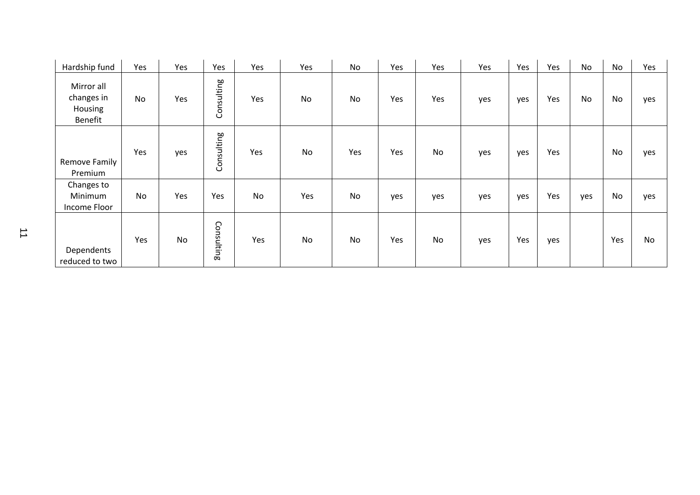| Hardship fund                                  | Yes       | Yes       | Yes        | Yes       | Yes       | No  | Yes | Yes       | Yes | Yes | Yes | <b>No</b> | No        | Yes |
|------------------------------------------------|-----------|-----------|------------|-----------|-----------|-----|-----|-----------|-----|-----|-----|-----------|-----------|-----|
| Mirror all<br>changes in<br>Housing<br>Benefit | <b>No</b> | Yes       | Consulting | Yes       | <b>No</b> | No  | Yes | Yes       | yes | yes | Yes | No        | No        | yes |
| Remove Family<br>Premium                       | Yes       | yes       | Consulting | Yes       | No        | Yes | Yes | <b>No</b> | yes | yes | Yes |           | <b>No</b> | yes |
| Changes to<br>Minimum<br>Income Floor          | <b>No</b> | Yes       | Yes        | <b>No</b> | Yes       | No  | yes | yes       | yes | yes | Yes | yes       | No        | yes |
| Dependents<br>reduced to two                   | Yes       | <b>No</b> | Consulting | Yes       | <b>No</b> | No  | Yes | <b>No</b> | yes | Yes | yes |           | Yes       | No  |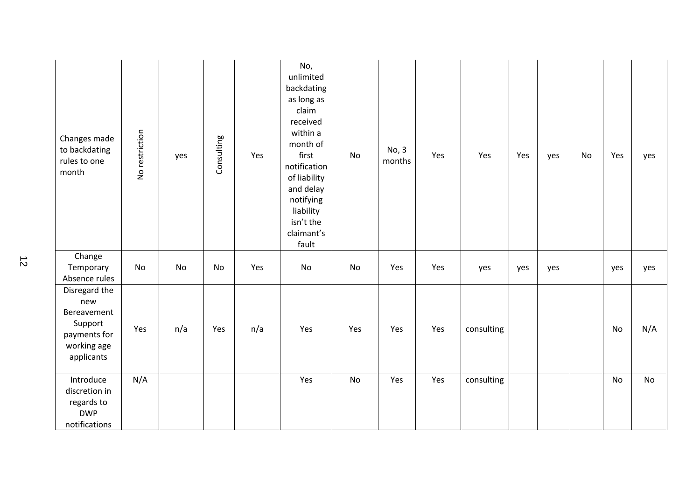| Changes made<br>to backdating<br>rules to one<br>month                                      | No restriction | yes | Consulting | Yes | No,<br>unlimited<br>backdating<br>as long as<br>claim<br>received<br>within a<br>month of<br>first<br>notification<br>of liability<br>and delay<br>notifying<br>liability<br>isn't the<br>claimant's<br>fault | No        | No, 3<br>months | Yes | Yes        | Yes | yes | No | Yes | yes       |
|---------------------------------------------------------------------------------------------|----------------|-----|------------|-----|---------------------------------------------------------------------------------------------------------------------------------------------------------------------------------------------------------------|-----------|-----------------|-----|------------|-----|-----|----|-----|-----------|
| Change<br>Temporary<br>Absence rules                                                        | No             | No  | No         | Yes | No                                                                                                                                                                                                            | No        | Yes             | Yes | yes        | yes | yes |    | yes | yes       |
| Disregard the<br>new<br>Bereavement<br>Support<br>payments for<br>working age<br>applicants | Yes            | n/a | Yes        | n/a | Yes                                                                                                                                                                                                           | Yes       | Yes             | Yes | consulting |     |     |    | No  | N/A       |
| Introduce<br>discretion in<br>regards to<br><b>DWP</b><br>notifications                     | N/A            |     |            |     | Yes                                                                                                                                                                                                           | <b>No</b> | Yes             | Yes | consulting |     |     |    | No  | <b>No</b> |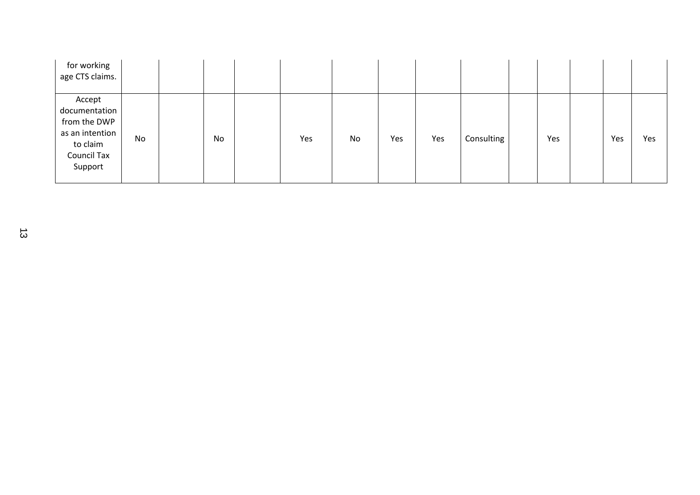| for working<br>age CTS claims.                                                                          |    |    |     |    |     |     |            |     |     |     |
|---------------------------------------------------------------------------------------------------------|----|----|-----|----|-----|-----|------------|-----|-----|-----|
| Accept<br>documentation<br>from the DWP<br>as an intention<br>to claim<br><b>Council Tax</b><br>Support | No | No | Yes | No | Yes | Yes | Consulting | Yes | Yes | Yes |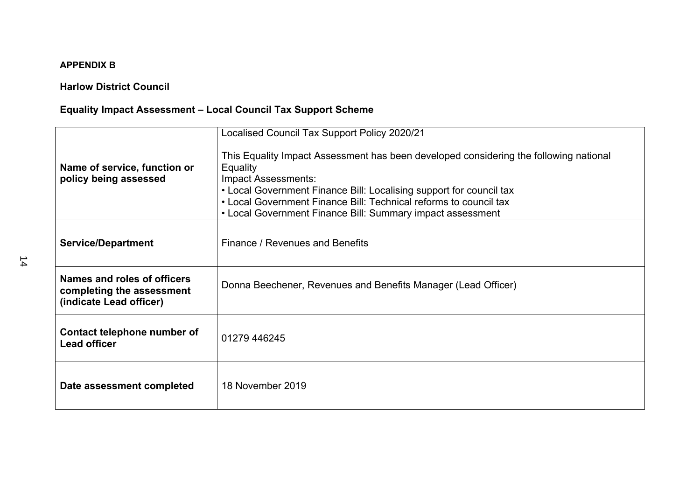## **APPENDIX B**

# **Harlow District Council**

# **Equality Impact Assessment – Local Council Tax Support Scheme**

|                                                                                     | Localised Council Tax Support Policy 2020/21                                                                                                                                                                                                                                                                                       |  |  |  |  |  |  |
|-------------------------------------------------------------------------------------|------------------------------------------------------------------------------------------------------------------------------------------------------------------------------------------------------------------------------------------------------------------------------------------------------------------------------------|--|--|--|--|--|--|
| Name of service, function or<br>policy being assessed                               | This Equality Impact Assessment has been developed considering the following national<br>Equality<br>Impact Assessments:<br>• Local Government Finance Bill: Localising support for council tax<br>• Local Government Finance Bill: Technical reforms to council tax<br>• Local Government Finance Bill: Summary impact assessment |  |  |  |  |  |  |
| <b>Service/Department</b>                                                           | Finance / Revenues and Benefits                                                                                                                                                                                                                                                                                                    |  |  |  |  |  |  |
| Names and roles of officers<br>completing the assessment<br>(indicate Lead officer) | Donna Beechener, Revenues and Benefits Manager (Lead Officer)                                                                                                                                                                                                                                                                      |  |  |  |  |  |  |
| Contact telephone number of<br><b>Lead officer</b>                                  | 01279 446245                                                                                                                                                                                                                                                                                                                       |  |  |  |  |  |  |
| Date assessment completed                                                           | 18 November 2019                                                                                                                                                                                                                                                                                                                   |  |  |  |  |  |  |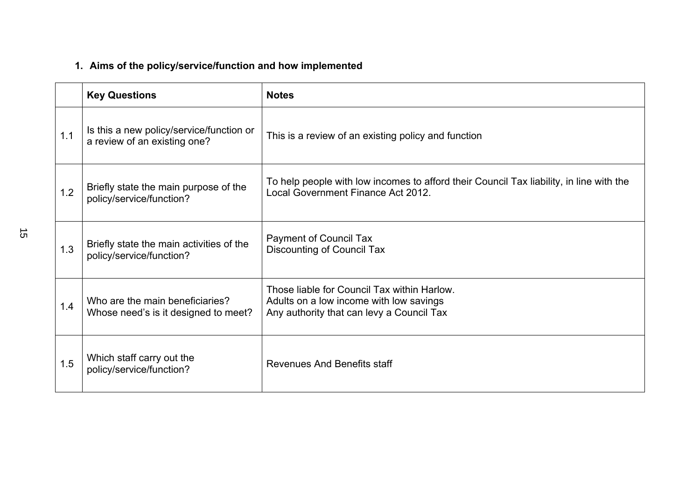# **1. Aims of the policy/service/function and how implemented**

|     | <b>Key Questions</b>                                                     | <b>Notes</b>                                                                                                                        |
|-----|--------------------------------------------------------------------------|-------------------------------------------------------------------------------------------------------------------------------------|
| 1.1 | Is this a new policy/service/function or<br>a review of an existing one? | This is a review of an existing policy and function                                                                                 |
| 1.2 | Briefly state the main purpose of the<br>policy/service/function?        | To help people with low incomes to afford their Council Tax liability, in line with the<br>Local Government Finance Act 2012.       |
| 1.3 | Briefly state the main activities of the<br>policy/service/function?     | <b>Payment of Council Tax</b><br>Discounting of Council Tax                                                                         |
| 1.4 | Who are the main beneficiaries?<br>Whose need's is it designed to meet?  | Those liable for Council Tax within Harlow.<br>Adults on a low income with low savings<br>Any authority that can levy a Council Tax |
| 1.5 | Which staff carry out the<br>policy/service/function?                    | Revenues And Benefits staff                                                                                                         |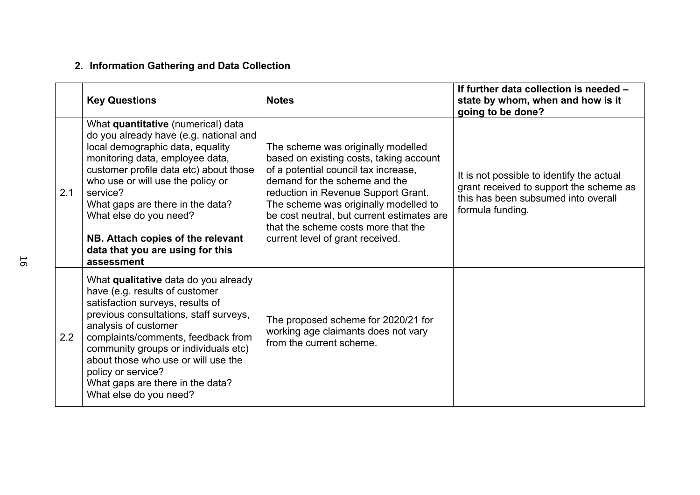# **2. Information Gathering and Data Collection**

|     | <b>Key Questions</b>                                                                                                                                                                                                                                                                                                                                                                                | <b>Notes</b>                                                                                                                                                                                                                                                                                                                                                    | If further data collection is needed -<br>state by whom, when and how is it<br>going to be done?                                                |
|-----|-----------------------------------------------------------------------------------------------------------------------------------------------------------------------------------------------------------------------------------------------------------------------------------------------------------------------------------------------------------------------------------------------------|-----------------------------------------------------------------------------------------------------------------------------------------------------------------------------------------------------------------------------------------------------------------------------------------------------------------------------------------------------------------|-------------------------------------------------------------------------------------------------------------------------------------------------|
| 2.1 | What quantitative (numerical) data<br>do you already have (e.g. national and<br>local demographic data, equality<br>monitoring data, employee data,<br>customer profile data etc) about those<br>who use or will use the policy or<br>service?<br>What gaps are there in the data?<br>What else do you need?<br>NB. Attach copies of the relevant<br>data that you are using for this<br>assessment | The scheme was originally modelled<br>based on existing costs, taking account<br>of a potential council tax increase,<br>demand for the scheme and the<br>reduction in Revenue Support Grant.<br>The scheme was originally modelled to<br>be cost neutral, but current estimates are<br>that the scheme costs more that the<br>current level of grant received. | It is not possible to identify the actual<br>grant received to support the scheme as<br>this has been subsumed into overall<br>formula funding. |
| 2.2 | What qualitative data do you already<br>have (e.g. results of customer<br>satisfaction surveys, results of<br>previous consultations, staff surveys,<br>analysis of customer<br>complaints/comments, feedback from<br>community groups or individuals etc)<br>about those who use or will use the<br>policy or service?<br>What gaps are there in the data?<br>What else do you need?               | The proposed scheme for 2020/21 for<br>working age claimants does not vary<br>from the current scheme.                                                                                                                                                                                                                                                          |                                                                                                                                                 |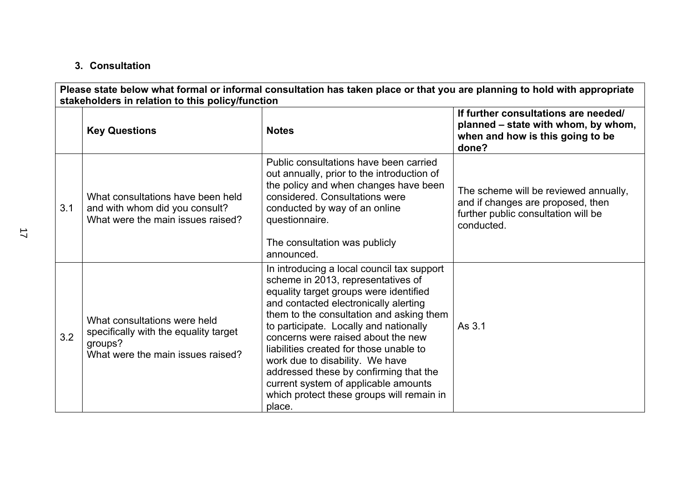# **3. Consultation**

| Please state below what formal or informal consultation has taken place or that you are planning to hold with appropriate<br>stakeholders in relation to this policy/function |                                                                                                                       |                                                                                                                                                                                                                                                                                                                                                                                                                                                                                                                        |                                                                                                                                 |  |
|-------------------------------------------------------------------------------------------------------------------------------------------------------------------------------|-----------------------------------------------------------------------------------------------------------------------|------------------------------------------------------------------------------------------------------------------------------------------------------------------------------------------------------------------------------------------------------------------------------------------------------------------------------------------------------------------------------------------------------------------------------------------------------------------------------------------------------------------------|---------------------------------------------------------------------------------------------------------------------------------|--|
|                                                                                                                                                                               | <b>Key Questions</b>                                                                                                  | <b>Notes</b>                                                                                                                                                                                                                                                                                                                                                                                                                                                                                                           | If further consultations are needed/<br>planned – state with whom, by whom,<br>when and how is this going to be<br>done?        |  |
| 3.1                                                                                                                                                                           | What consultations have been held<br>and with whom did you consult?<br>What were the main issues raised?              | Public consultations have been carried<br>out annually, prior to the introduction of<br>the policy and when changes have been<br>considered. Consultations were<br>conducted by way of an online<br>questionnaire.<br>The consultation was publicly<br>announced.                                                                                                                                                                                                                                                      | The scheme will be reviewed annually,<br>and if changes are proposed, then<br>further public consultation will be<br>conducted. |  |
| 3.2                                                                                                                                                                           | What consultations were held<br>specifically with the equality target<br>groups?<br>What were the main issues raised? | In introducing a local council tax support<br>scheme in 2013, representatives of<br>equality target groups were identified<br>and contacted electronically alerting<br>them to the consultation and asking them<br>to participate. Locally and nationally<br>concerns were raised about the new<br>liabilities created for those unable to<br>work due to disability. We have<br>addressed these by confirming that the<br>current system of applicable amounts<br>which protect these groups will remain in<br>place. | As 3.1                                                                                                                          |  |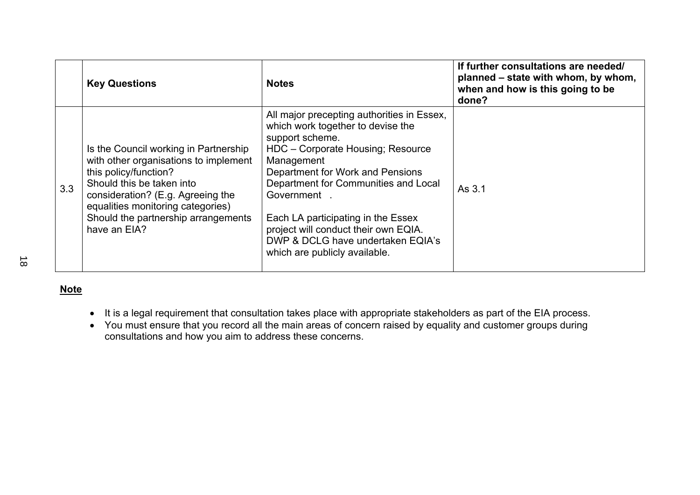|     | <b>Key Questions</b>                                                                                                                                                                                                                                                  | <b>Notes</b>                                                                                                                                                                                                                                                                                                                                                                                        | If further consultations are needed/<br>planned – state with whom, by whom,<br>when and how is this going to be<br>done? |
|-----|-----------------------------------------------------------------------------------------------------------------------------------------------------------------------------------------------------------------------------------------------------------------------|-----------------------------------------------------------------------------------------------------------------------------------------------------------------------------------------------------------------------------------------------------------------------------------------------------------------------------------------------------------------------------------------------------|--------------------------------------------------------------------------------------------------------------------------|
| 3.3 | Is the Council working in Partnership<br>with other organisations to implement<br>this policy/function?<br>Should this be taken into<br>consideration? (E.g. Agreeing the<br>equalities monitoring categories)<br>Should the partnership arrangements<br>have an EIA? | All major precepting authorities in Essex,<br>which work together to devise the<br>support scheme.<br>HDC - Corporate Housing; Resource<br>Management<br>Department for Work and Pensions<br>Department for Communities and Local<br>Government<br>Each LA participating in the Essex<br>project will conduct their own EQIA.<br>DWP & DCLG have undertaken EQIA's<br>which are publicly available. | As 3.1                                                                                                                   |

**Note**

- It is a legal requirement that consultation takes place with appropriate stakeholders as part of the EIA process.
- You must ensure that you record all the main areas of concern raised by equality and customer groups during consultations and how you aim to address these concerns.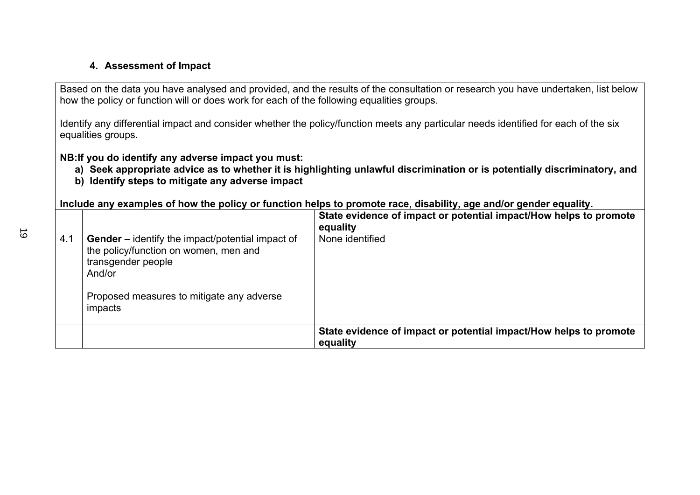# **4. Assessment of Impact**

Based on the data you have analysed and provided, and the results of the consultation or research you have undertaken, list below how the policy or function will or does work for each of the following equalities groups.

Identify any differential impact and consider whether the policy/function meets any particular needs identified for each of the six equalities groups.

**NB:If you do identify any adverse impact you must:**

- a) Seek appropriate advice as to whether it is highlighting unlawful discrimination or is potentially discriminatory, and
- **b) Identify steps to mitigate any adverse impact**

Include any examples of how the policy or function helps to promote race, disability, age and/or gender equality.

|     |                                                                                                                           | State evidence of impact or potential impact/How helps to promote<br>equality |
|-----|---------------------------------------------------------------------------------------------------------------------------|-------------------------------------------------------------------------------|
| 4.1 | Gender - identify the impact/potential impact of<br>the policy/function on women, men and<br>transgender people<br>And/or | None identified                                                               |
|     | Proposed measures to mitigate any adverse<br>impacts                                                                      |                                                                               |
|     |                                                                                                                           | State evidence of impact or potential impact/How helps to promote<br>equality |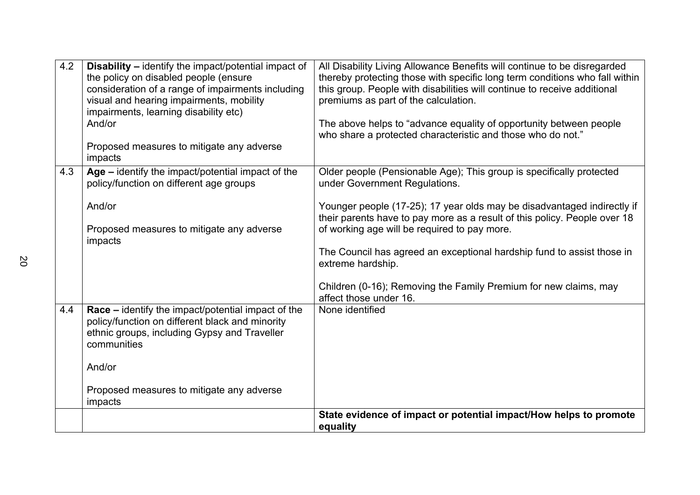| 4.2 | <b>Disability - identify the impact/potential impact of</b><br>the policy on disabled people (ensure<br>consideration of a range of impairments including<br>visual and hearing impairments, mobility<br>impairments, learning disability etc)<br>And/or<br>Proposed measures to mitigate any adverse<br>impacts | All Disability Living Allowance Benefits will continue to be disregarded<br>thereby protecting those with specific long term conditions who fall within<br>this group. People with disabilities will continue to receive additional<br>premiums as part of the calculation.<br>The above helps to "advance equality of opportunity between people<br>who share a protected characteristic and those who do not."                                                                                           |
|-----|------------------------------------------------------------------------------------------------------------------------------------------------------------------------------------------------------------------------------------------------------------------------------------------------------------------|------------------------------------------------------------------------------------------------------------------------------------------------------------------------------------------------------------------------------------------------------------------------------------------------------------------------------------------------------------------------------------------------------------------------------------------------------------------------------------------------------------|
| 4.3 | Age - identify the impact/potential impact of the<br>policy/function on different age groups<br>And/or<br>Proposed measures to mitigate any adverse<br>impacts                                                                                                                                                   | Older people (Pensionable Age); This group is specifically protected<br>under Government Regulations.<br>Younger people (17-25); 17 year olds may be disadvantaged indirectly if<br>their parents have to pay more as a result of this policy. People over 18<br>of working age will be required to pay more.<br>The Council has agreed an exceptional hardship fund to assist those in<br>extreme hardship.<br>Children (0-16); Removing the Family Premium for new claims, may<br>affect those under 16. |
| 4.4 | Race - identify the impact/potential impact of the<br>policy/function on different black and minority<br>ethnic groups, including Gypsy and Traveller<br>communities<br>And/or<br>Proposed measures to mitigate any adverse<br>impacts                                                                           | None identified<br>State evidence of impact or potential impact/How helps to promote                                                                                                                                                                                                                                                                                                                                                                                                                       |
|     |                                                                                                                                                                                                                                                                                                                  | equality                                                                                                                                                                                                                                                                                                                                                                                                                                                                                                   |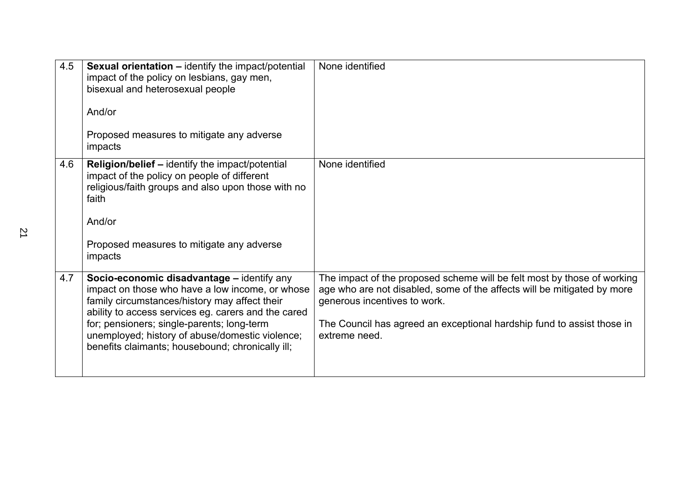| 4.5 | <b>Sexual orientation - identify the impact/potential</b><br>impact of the policy on lesbians, gay men,<br>bisexual and heterosexual people<br>And/or<br>Proposed measures to mitigate any adverse<br>impacts                                                                                                                                              | None identified                                                                                                                                                                                                                                                               |
|-----|------------------------------------------------------------------------------------------------------------------------------------------------------------------------------------------------------------------------------------------------------------------------------------------------------------------------------------------------------------|-------------------------------------------------------------------------------------------------------------------------------------------------------------------------------------------------------------------------------------------------------------------------------|
| 4.6 | Religion/belief - identify the impact/potential<br>impact of the policy on people of different<br>religious/faith groups and also upon those with no<br>faith<br>And/or<br>Proposed measures to mitigate any adverse<br>impacts                                                                                                                            | None identified                                                                                                                                                                                                                                                               |
| 4.7 | Socio-economic disadvantage – identify any<br>impact on those who have a low income, or whose<br>family circumstances/history may affect their<br>ability to access services eg. carers and the cared<br>for; pensioners; single-parents; long-term<br>unemployed; history of abuse/domestic violence;<br>benefits claimants; housebound; chronically ill; | The impact of the proposed scheme will be felt most by those of working<br>age who are not disabled, some of the affects will be mitigated by more<br>generous incentives to work.<br>The Council has agreed an exceptional hardship fund to assist those in<br>extreme need. |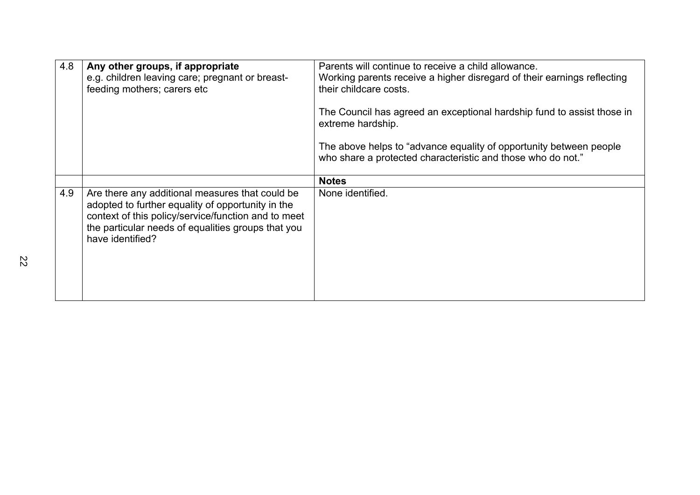| 4.8 | Any other groups, if appropriate<br>e.g. children leaving care; pregnant or breast-<br>feeding mothers; carers etc                                                                                                                    | Parents will continue to receive a child allowance.<br>Working parents receive a higher disregard of their earnings reflecting<br>their childcare costs. |
|-----|---------------------------------------------------------------------------------------------------------------------------------------------------------------------------------------------------------------------------------------|----------------------------------------------------------------------------------------------------------------------------------------------------------|
|     |                                                                                                                                                                                                                                       | The Council has agreed an exceptional hardship fund to assist those in<br>extreme hardship.                                                              |
|     |                                                                                                                                                                                                                                       | The above helps to "advance equality of opportunity between people<br>who share a protected characteristic and those who do not."                        |
|     |                                                                                                                                                                                                                                       | <b>Notes</b>                                                                                                                                             |
| 4.9 | Are there any additional measures that could be<br>adopted to further equality of opportunity in the<br>context of this policy/service/function and to meet<br>the particular needs of equalities groups that you<br>have identified? | None identified.                                                                                                                                         |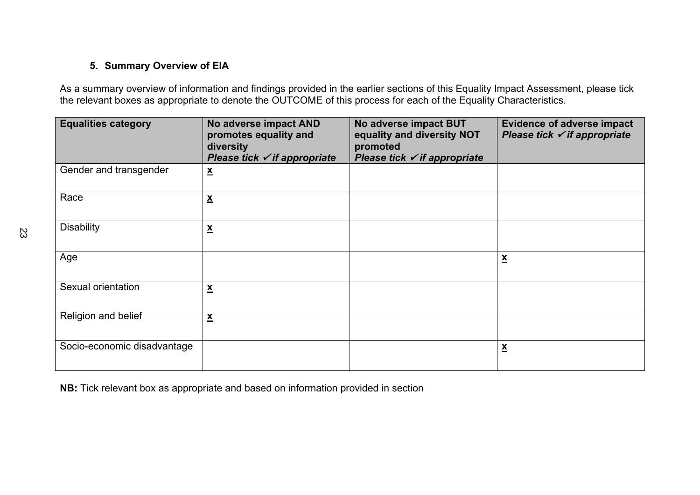# **5. Summary Overview of EIA**

As a summary overview of information and findings provided in the earlier sections of this Equality Impact Assessment, please tick the relevant boxes as appropriate to denote the OUTCOME of this process for each of the Equality Characteristics.

| <b>Equalities category</b>  | No adverse impact AND<br>promotes equality and<br>diversity<br>Please tick $\checkmark$ if appropriate | No adverse impact BUT<br>equality and diversity NOT<br>promoted<br>Please tick $\checkmark$ if appropriate | <b>Evidence of adverse impact</b><br>Please tick $\checkmark$ if appropriate |
|-----------------------------|--------------------------------------------------------------------------------------------------------|------------------------------------------------------------------------------------------------------------|------------------------------------------------------------------------------|
| Gender and transgender      | $\underline{\mathbf{x}}$                                                                               |                                                                                                            |                                                                              |
| Race                        | $\underline{\mathbf{x}}$                                                                               |                                                                                                            |                                                                              |
| <b>Disability</b>           | $\underline{\mathbf{x}}$                                                                               |                                                                                                            |                                                                              |
| Age                         |                                                                                                        |                                                                                                            | $\underline{\mathbf{x}}$                                                     |
| Sexual orientation          | $\underline{\mathbf{x}}$                                                                               |                                                                                                            |                                                                              |
| Religion and belief         | $\underline{\mathbf{x}}$                                                                               |                                                                                                            |                                                                              |
| Socio-economic disadvantage |                                                                                                        |                                                                                                            | $\underline{\mathbf{x}}$                                                     |

**NB:** Tick relevant box as appropriate and based on information provided in section